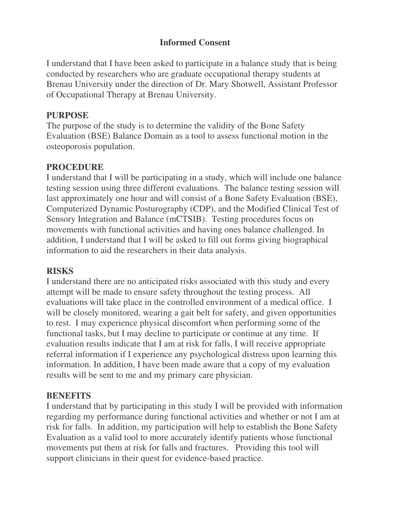## **Informed Consent**

I understand that I have been asked to participate in a balance study that is being conducted by researchers who are graduate occupational therapy students at Brenau University under the direction of Dr. Mary Shotwell, Assistant Professor of Occupational Therapy at Brenau University.

#### **PURPOSE**

The purpose of the study is to determine the validity of the Bone Safety Evaluation (BSE) Balance Domain as a tool to assess functional motion in the osteoporosis population.

#### **PROCEDURE**

I understand that I will be participating in a study, which will include one balance testing session using three different evaluations. The balance testing session will last approximately one hour and will consist of a Bone Safety Evaluation (BSE), Computerized Dynamic Posturography (CDP), and the Modified Clinical Test of Sensory Integration and Balance (mCTSIB). Testing procedures focus on movements with functional activities and having ones balance challenged. In addition, I understand that I will be asked to fill out forms giving biographical information to aid the researchers in their data analysis.

### **RISKS**

I understand there are no anticipated risks associated with this study and every attempt will be made to ensure safety throughout the testing process. All evaluations will take place in the controlled environment of a medical office. I will be closely monitored, wearing a gait belt for safety, and given opportunities to rest. I may experience physical discomfort when performing some of the functional tasks, but I may decline to participate or continue at any time. If evaluation results indicate that I am at risk for falls, I will receive appropriate referral information if I experience any psychological distress upon learning this information. In addition, I have been made aware that a copy of my evaluation results will be sent to me and my primary care physician.

#### **BENEFITS**

I understand that by participating in this study I will be provided with information regarding my performance during functional activities and whether or not I am at risk for falls. In addition, my participation will help to establish the Bone Safety Evaluation as a valid tool to more accurately identify patients whose functional movements put them at risk for falls and fractures. Providing this tool will support clinicians in their quest for evidence-based practice.